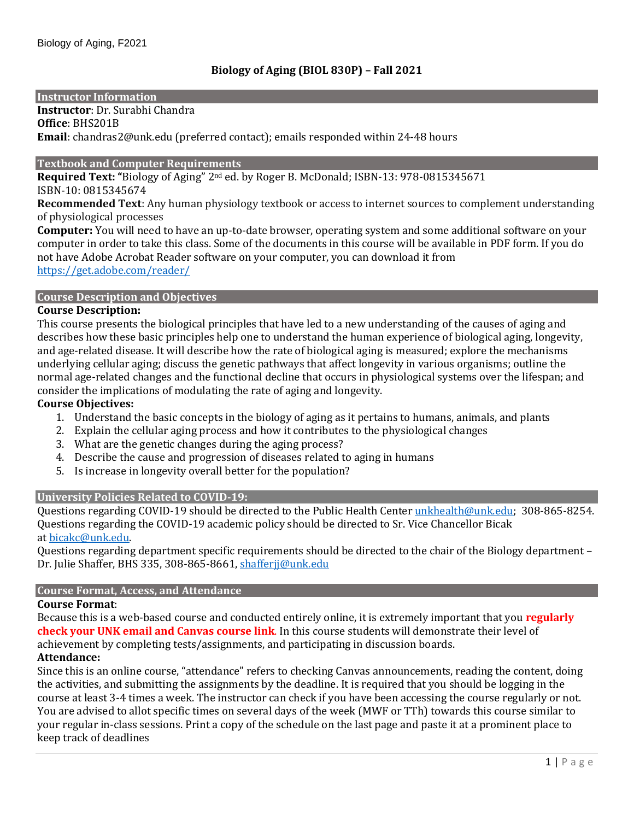## **Instructor Information**

**Instructor**: Dr. Surabhi Chandra

**Office**: BHS201B **Email**: chandras2@unk.edu (preferred contact); emails responded within 24-48 hours

### **Textbook and Computer Requirements**

**Required Text: "**Biology of Aging" 2nd ed. by Roger B. McDonald; ISBN-13: 978-0815345671 ISBN-10: 0815345674

**Recommended Text**: Any human physiology textbook or access to internet sources to complement understanding of physiological processes

**Computer:** You will need to have an up-to-date browser, operating system and some additional software on your computer in order to take this class. Some of the documents in this course will be available in PDF form. If you do not have Adobe Acrobat Reader software on your computer, you can download it from <https://get.adobe.com/reader/>

#### **Course Description and Objectives**

#### **Course Description:**

This course presents the biological principles that have led to a new understanding of the causes of aging and describes how these basic principles help one to understand the human experience of biological aging, longevity, and age-related disease. It will describe how the rate of biological aging is measured; explore the mechanisms underlying cellular aging; discuss the genetic pathways that affect longevity in various organisms; outline the normal age-related changes and the functional decline that occurs in physiological systems over the lifespan; and consider the implications of modulating the rate of aging and longevity.

## **Course Objectives:**

- 1. Understand the basic concepts in the biology of aging as it pertains to humans, animals, and plants
- 2. Explain the cellular aging process and how it contributes to the physiological changes
- 3. What are the genetic changes during the aging process?
- 4. Describe the cause and progression of diseases related to aging in humans
- 5. Is increase in longevity overall better for the population?

## **University Policies Related to COVID-19:**

Questions regarding COVID-19 should be directed to the Public Health Center [unkhealth@unk.edu;](mailto:unkhealth@unk.edu) 308-865-8254. Questions regarding the COVID-19 academic policy should be directed to Sr. Vice Chancellor Bicak at [bicakc@unk.edu.](mailto:bicakc@unk.edu)

Questions regarding department specific requirements should be directed to the chair of the Biology department – Dr. Julie Shaffer, BHS 335, 308-865-8661, [shafferjj@unk.edu](mailto:shafferjj@unk.edu)

## **Course Format, Access, and Attendance**

#### **Course Format**:

Because this is a web-based course and conducted entirely online, it is extremely important that you **regularly check your UNK email and Canvas course link**. In this course students will demonstrate their level of achievement by completing tests/assignments, and participating in discussion boards.

# **Attendance:**

Since this is an online course, "attendance" refers to checking Canvas announcements, reading the content, doing the activities, and submitting the assignments by the deadline. It is required that you should be logging in the course at least 3-4 times a week. The instructor can check if you have been accessing the course regularly or not. You are advised to allot specific times on several days of the week (MWF or TTh) towards this course similar to your regular in-class sessions. Print a copy of the schedule on the last page and paste it at a prominent place to keep track of deadlines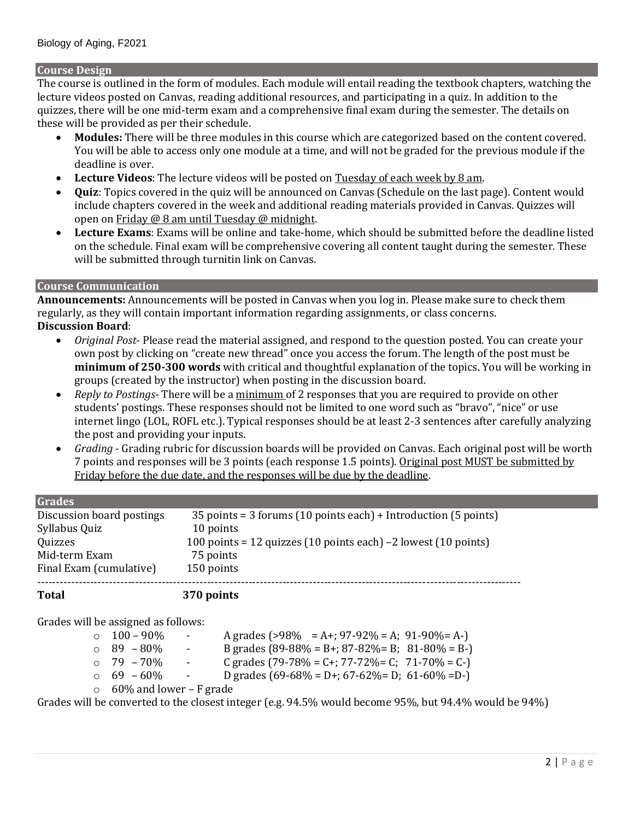## **Course Design**

The course is outlined in the form of modules. Each module will entail reading the textbook chapters, watching the lecture videos posted on Canvas, reading additional resources, and participating in a quiz. In addition to the quizzes, there will be one mid-term exam and a comprehensive final exam during the semester. The details on these will be provided as per their schedule.

- **Modules:** There will be three modules in this course which are categorized based on the content covered. You will be able to access only one module at a time, and will not be graded for the previous module if the deadline is over.
- **Lecture Videos**: The lecture videos will be posted on Tuesday of each week by 8 am.
- **Quiz**: Topics covered in the quiz will be announced on Canvas (Schedule on the last page). Content would include chapters covered in the week and additional reading materials provided in Canvas. Quizzes will open on Friday @ 8 am until Tuesday @ midnight.
- **Lecture Exams**: Exams will be online and take-home, which should be submitted before the deadline listed on the schedule. Final exam will be comprehensive covering all content taught during the semester. These will be submitted through turnitin link on Canvas.

## **Course Communication**

**Announcements:** Announcements will be posted in Canvas when you log in. Please make sure to check them regularly, as they will contain important information regarding assignments, or class concerns. **Discussion Board**:

- *Original Post* Please read the material assigned, and respond to the question posted. You can create your own post by clicking on "create new thread" once you access the forum. The length of the post must be **minimum of 250-300 words** with critical and thoughtful explanation of the topics. You will be working in groups (created by the instructor) when posting in the discussion board.
- *Reply to Postings* There will be a minimum of 2 responses that you are required to provide on other students' postings. These responses should not be limited to one word such as "bravo", "nice" or use internet lingo (LOL, ROFL etc.). Typical responses should be at least 2-3 sentences after carefully analyzing the post and providing your inputs.
- *Grading*  Grading rubric for discussion boards will be provided on Canvas. Each original post will be worth 7 points and responses will be 3 points (each response 1.5 points). Original post MUST be submitted by Friday before the due date, and the responses will be due by the deadline.

| <b>Grades</b>             |                                                                                     |
|---------------------------|-------------------------------------------------------------------------------------|
| Discussion board postings | $35$ points = 3 forums (10 points each) + Introduction (5 points)                   |
| Syllabus Quiz             | 10 points                                                                           |
| Quizzes                   | 100 points = 12 quizzes $(10 \text{ points each}) - 2$ lowest $(10 \text{ points})$ |
| Mid-term Exam             | 75 points                                                                           |
| Final Exam (cumulative)   | 150 points                                                                          |
| Total                     | 370 points                                                                          |

Grades will be assigned as follows:

| $\circ$ 100 – 90%               | $\sigma_{\rm{max}}$             | A grades (>98% = A+; 97-92% = A; 91-90%= A-)                         |
|---------------------------------|---------------------------------|----------------------------------------------------------------------|
| $\circ$ 89 – 80%                | $\sim 100$                      | B grades $(89-88\% = B +; 87-82\% = B; 81-80\% = B -)$               |
| $\circ$ 79 – 70%                | $\frac{1}{2}$ and $\frac{1}{2}$ | C grades $(79-78\% = C^{2} + T^{2} - T^{2}) = C$ ; $71-70\% = C^{-}$ |
| $\circ$ 69 – 60% –              |                                 | D grades $(69-68\% = D + 67-62\% = D; 61-60\% = D)$                  |
| $\circ$ 60% and lower – F grade |                                 |                                                                      |
|                                 |                                 |                                                                      |

Grades will be converted to the closest integer (e.g. 94.5% would become 95%, but 94.4% would be 94%)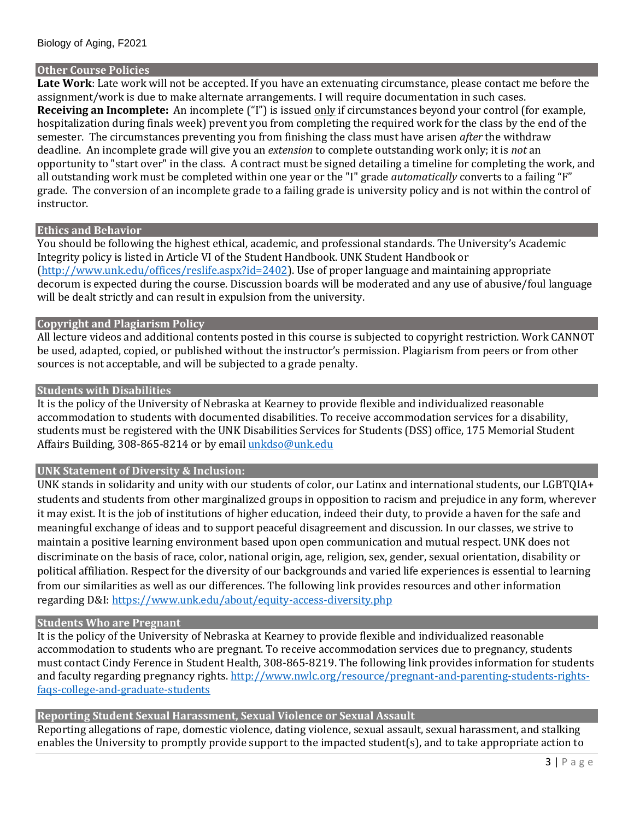### **Other Course Policies**

**Late Work**: Late work will not be accepted. If you have an extenuating circumstance, please contact me before the assignment/work is due to make alternate arrangements. I will require documentation in such cases. **Receiving an Incomplete:** An incomplete ("I") is issued only if circumstances beyond your control (for example, hospitalization during finals week) prevent you from completing the required work for the class by the end of the semester. The circumstances preventing you from finishing the class must have arisen *after* the withdraw deadline. An incomplete grade will give you an *extension* to complete outstanding work only; it is *not* an opportunity to "start over" in the class. A contract must be signed detailing a timeline for completing the work, and all outstanding work must be completed within one year or the "I" grade *automatically* converts to a failing "F" grade. The conversion of an incomplete grade to a failing grade is university policy and is not within the control of instructor.

#### **Ethics and Behavior**

You should be following the highest ethical, academic, and professional standards. The University's Academic Integrity policy is listed in Article VI of the Student Handbook. UNK Student Handbook or [\(http://www.unk.edu/offices/reslife.aspx?id=2402\)](http://www.unk.edu/offices/reslife.aspx?id=2402). Use of proper language and maintaining appropriate decorum is expected during the course. Discussion boards will be moderated and any use of abusive/foul language will be dealt strictly and can result in expulsion from the university.

## **Copyright and Plagiarism Policy**

All lecture videos and additional contents posted in this course is subjected to copyright restriction. Work CANNOT be used, adapted, copied, or published without the instructor's permission. Plagiarism from peers or from other sources is not acceptable, and will be subjected to a grade penalty.

#### **Students with Disabilities**

It is the policy of the University of Nebraska at Kearney to provide flexible and individualized reasonable accommodation to students with documented disabilities. To receive accommodation services for a disability, students must be registered with the UNK Disabilities Services for Students (DSS) office, 175 Memorial Student Affairs Building, 308-865-8214 or by emai[l unkdso@unk.edu](mailto:unkdso@unk.edu)

## **UNK Statement of Diversity & Inclusion:**

UNK stands in solidarity and unity with our students of color, our Latinx and international students, our LGBTQIA+ students and students from other marginalized groups in opposition to racism and prejudice in any form, wherever it may exist. It is the job of institutions of higher education, indeed their duty, to provide a haven for the safe and meaningful exchange of ideas and to support peaceful disagreement and discussion. In our classes, we strive to maintain a positive learning environment based upon open communication and mutual respect. UNK does not discriminate on the basis of race, color, national origin, age, religion, sex, gender, sexual orientation, disability or political affiliation. Respect for the diversity of our backgrounds and varied life experiences is essential to learning from our similarities as well as our differences. The following link provides resources and other information regarding D&I:<https://www.unk.edu/about/equity-access-diversity.php>

#### **Students Who are Pregnant**

It is the policy of the University of Nebraska at Kearney to provide flexible and individualized reasonable accommodation to students who are pregnant. To receive accommodation services due to pregnancy, students must contact Cindy Ference in Student Health, 308-865-8219. The following link provides information for students and faculty regarding pregnancy rights. [http://www.nwlc.org/resource/pregnant-and-parenting-students-rights](https://urldefense.proofpoint.com/v2/url?u=http-3A__www.nwlc.org_resource_pregnant-2Dand-2Dparenting-2Dstudents-2Drights-2Dfaqs-2Dcollege-2Dand-2Dgraduate-2Dstudents&d=DwMFAg&c=Cu5g146wZdoqVuKpTNsYHeFX_rg6kWhlkLF8Eft-wwo&r=BJkIhAaMtWY7PlqIhIOyVw&m=RgBL3s2VNHfvD5ReMK2q_PhwYU8dbEt1vxs1BO4WkpQ&s=MmB91XAzaW-E7UPMXPGx9tWJQbTWJYyYzM8gLjhEzQ0&e=)[faqs-college-and-graduate-students](https://urldefense.proofpoint.com/v2/url?u=http-3A__www.nwlc.org_resource_pregnant-2Dand-2Dparenting-2Dstudents-2Drights-2Dfaqs-2Dcollege-2Dand-2Dgraduate-2Dstudents&d=DwMFAg&c=Cu5g146wZdoqVuKpTNsYHeFX_rg6kWhlkLF8Eft-wwo&r=BJkIhAaMtWY7PlqIhIOyVw&m=RgBL3s2VNHfvD5ReMK2q_PhwYU8dbEt1vxs1BO4WkpQ&s=MmB91XAzaW-E7UPMXPGx9tWJQbTWJYyYzM8gLjhEzQ0&e=)

## **Reporting Student Sexual Harassment, Sexual Violence or Sexual Assault**

Reporting allegations of rape, domestic violence, dating violence, sexual assault, sexual harassment, and stalking enables the University to promptly provide support to the impacted student(s), and to take appropriate action to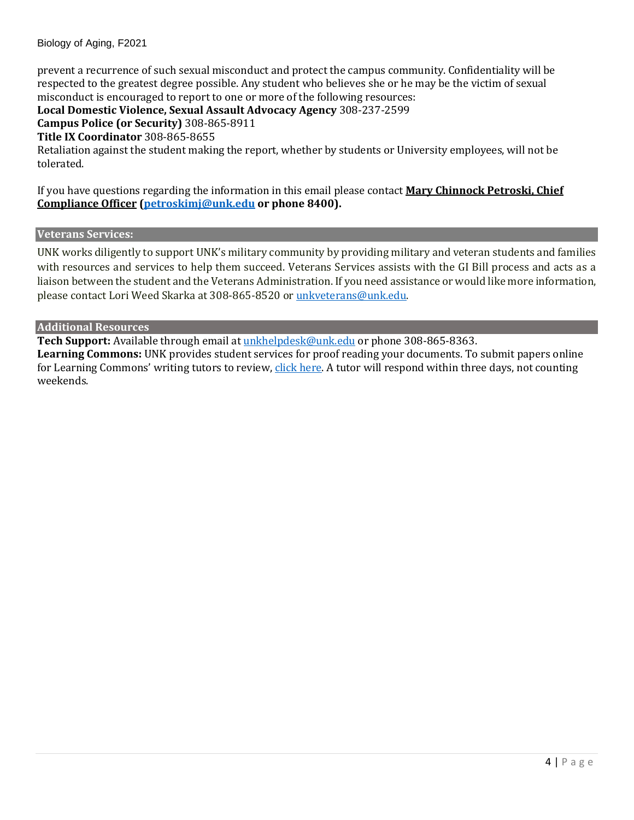## Biology of Aging, F2021

prevent a recurrence of such sexual misconduct and protect the campus community. Confidentiality will be respected to the greatest degree possible. Any student who believes she or he may be the victim of sexual misconduct is encouraged to report to one or more of the following resources:

**Local Domestic Violence, Sexual Assault Advocacy Agency** 308-237-2599

**Campus Police (or Security)** 308-865-8911

**Title IX Coordinator** 308-865-8655

Retaliation against the student making the report, whether by students or University employees, will not be tolerated.

If you have questions regarding the information in this email please contact **Mary Chinnock Petroski, Chief Compliance Officer [\(petroskimj@unk.edu](mailto:petroskimj@unk.edu) or phone 8400).** 

## **Veterans Services:**

UNK works diligently to support UNK's military community by providing military and veteran students and families with resources and services to help them succeed. Veterans Services assists with the GI Bill process and acts as a liaison between the student and the Veterans Administration. If you need assistance or would like more information, please contact Lori Weed Skarka at 308-865-8520 or [unkveterans@unk.edu.](mailto:unkveterans@unk.edu)

## **Additional Resources**

**Tech Support:** Available through email at [unkhelpdesk@unk.edu](mailto:unkhelpdesk@unk.edu) or phone 308-865-8363.

**Learning Commons:** UNK provides student services for proof reading your documents. To submit papers online for Learning Commons' writing tutors to review, [click here.](http://www.unk.edu/offices/learning_commons/writing-center/index.php) A tutor will respond within three days, not counting weekends.